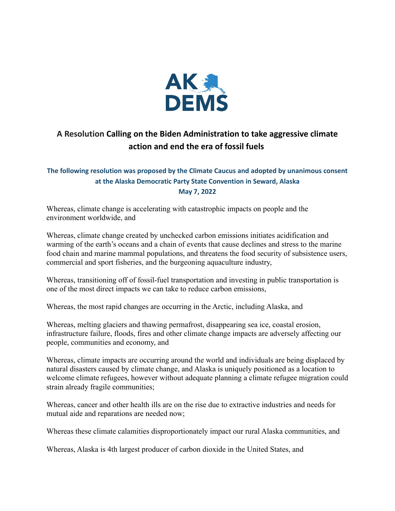

## **A Resolution Calling on the Biden Administration to take aggressive climate action and end the era of fossil fuels**

## **The following resolution was proposed by the Climate Caucus and adopted by unanimous consent at the Alaska Democratic Party State Convention in Seward, Alaska May 7, 2022**

Whereas, climate change is accelerating with catastrophic impacts on people and the environment worldwide, and

Whereas, climate change created by unchecked carbon emissions initiates acidification and warming of the earth's oceans and a chain of events that cause declines and stress to the marine food chain and marine mammal populations, and threatens the food security of subsistence users, commercial and sport fisheries, and the burgeoning aquaculture industry,

Whereas, transitioning off of fossil-fuel transportation and investing in public transportation is one of the most direct impacts we can take to reduce carbon emissions,

Whereas, the most rapid changes are occurring in the Arctic, including Alaska, and

Whereas, melting glaciers and thawing permafrost, disappearing sea ice, coastal erosion, infrastructure failure, floods, fires and other climate change impacts are adversely affecting our people, communities and economy, and

Whereas, climate impacts are occurring around the world and individuals are being displaced by natural disasters caused by climate change, and Alaska is uniquely positioned as a location to welcome climate refugees, however without adequate planning a climate refugee migration could strain already fragile communities;

Whereas, cancer and other health ills are on the rise due to extractive industries and needs for mutual aide and reparations are needed now;

Whereas these climate calamities disproportionately impact our rural Alaska communities, and

Whereas, Alaska is 4th largest producer of carbon dioxide in the United States, and